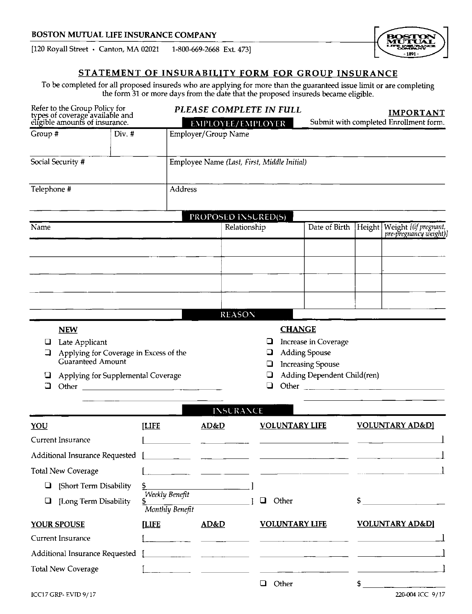# BOSTON MUTUAL LIFE INSURANCE COMPANY

[120 Royall Street · Canton, MA 02021 1-800-669-2668 Ext. 473]

# STATEMENT OF INSURABILITY FORM FOR GROUP INSURANCE

To be completed for all proposed insureds who are applying for more than the guaranteed issue limit or are completing<br>the form 31 or more days from the date that the proposed insureds became eligible.

| Refer to the Group Policy for<br>types of coverage available and<br>eligible amounts of insurance.                                      |                                             | PLEASE COMPLETE IN FULL<br>EMPLOYEE/EMPLOYER |                            |                                                                                                                                                                                                                                      | <b>IMPORTANT</b><br>Submit with completed Enrollment form.                                              |      |                                                                                                                                                                                                                                                                                                                       |
|-----------------------------------------------------------------------------------------------------------------------------------------|---------------------------------------------|----------------------------------------------|----------------------------|--------------------------------------------------------------------------------------------------------------------------------------------------------------------------------------------------------------------------------------|---------------------------------------------------------------------------------------------------------|------|-----------------------------------------------------------------------------------------------------------------------------------------------------------------------------------------------------------------------------------------------------------------------------------------------------------------------|
| Group #<br>Div. #                                                                                                                       |                                             | Employer/Group Name                          |                            |                                                                                                                                                                                                                                      |                                                                                                         |      |                                                                                                                                                                                                                                                                                                                       |
| Social Security #                                                                                                                       | Employee Name (Last, First, Middle Initial) |                                              |                            |                                                                                                                                                                                                                                      |                                                                                                         |      |                                                                                                                                                                                                                                                                                                                       |
| Telephone #                                                                                                                             |                                             | Address                                      |                            |                                                                                                                                                                                                                                      |                                                                                                         |      |                                                                                                                                                                                                                                                                                                                       |
|                                                                                                                                         |                                             |                                              | <b>PROPOSED INSURED(S)</b> |                                                                                                                                                                                                                                      |                                                                                                         |      |                                                                                                                                                                                                                                                                                                                       |
| Name                                                                                                                                    |                                             |                                              | Relationship               |                                                                                                                                                                                                                                      |                                                                                                         |      | Date of Birth Height Weight [(if pregnant,                                                                                                                                                                                                                                                                            |
|                                                                                                                                         |                                             |                                              |                            |                                                                                                                                                                                                                                      |                                                                                                         |      |                                                                                                                                                                                                                                                                                                                       |
|                                                                                                                                         |                                             |                                              |                            |                                                                                                                                                                                                                                      |                                                                                                         |      |                                                                                                                                                                                                                                                                                                                       |
|                                                                                                                                         |                                             |                                              |                            |                                                                                                                                                                                                                                      |                                                                                                         |      |                                                                                                                                                                                                                                                                                                                       |
|                                                                                                                                         |                                             |                                              |                            |                                                                                                                                                                                                                                      |                                                                                                         |      |                                                                                                                                                                                                                                                                                                                       |
|                                                                                                                                         |                                             |                                              | <b>REASON</b>              |                                                                                                                                                                                                                                      |                                                                                                         |      |                                                                                                                                                                                                                                                                                                                       |
| Late Applicant<br>⊔<br>Applying for Coverage in Excess of the<br>a<br>Guaranteed Amount<br>Applying for Supplemental Coverage<br>⊔<br>⊐ |                                             |                                              |                            | ⊔<br>u<br>⊔<br>⊔                                                                                                                                                                                                                     | Increase in Coverage<br><b>Adding Spouse</b><br><b>Increasing Spouse</b><br>Adding Dependent Child(ren) |      | Other $\frac{1}{2}$ $\frac{1}{2}$ $\frac{1}{2}$ $\frac{1}{2}$ $\frac{1}{2}$ $\frac{1}{2}$ $\frac{1}{2}$ $\frac{1}{2}$ $\frac{1}{2}$ $\frac{1}{2}$ $\frac{1}{2}$ $\frac{1}{2}$ $\frac{1}{2}$ $\frac{1}{2}$ $\frac{1}{2}$ $\frac{1}{2}$ $\frac{1}{2}$ $\frac{1}{2}$ $\frac{1}{2}$ $\frac{1}{2}$ $\frac{1}{2}$ $\frac{1$ |
|                                                                                                                                         |                                             |                                              | <b>INSURANCE</b>           |                                                                                                                                                                                                                                      |                                                                                                         |      |                                                                                                                                                                                                                                                                                                                       |
| YOU<br>Current Insurance                                                                                                                | <b>[LIFE</b>                                | AD&D                                         |                            | <b>VOLUNTARY LIFE</b>                                                                                                                                                                                                                |                                                                                                         |      | <b>VOLUNTARY AD&amp;D]</b>                                                                                                                                                                                                                                                                                            |
| Additional Insurance Requested [                                                                                                        |                                             |                                              |                            |                                                                                                                                                                                                                                      |                                                                                                         |      |                                                                                                                                                                                                                                                                                                                       |
| <b>Total New Coverage</b>                                                                                                               |                                             |                                              |                            |                                                                                                                                                                                                                                      |                                                                                                         |      |                                                                                                                                                                                                                                                                                                                       |
| $\Box$ [Short Term Disability]                                                                                                          | \$.                                         |                                              |                            |                                                                                                                                                                                                                                      |                                                                                                         |      |                                                                                                                                                                                                                                                                                                                       |
| [Long Term Disability<br>$\Box$                                                                                                         | Weekly Benefit<br>Monthly Benefit           |                                              |                            | Other<br>$\Box$                                                                                                                                                                                                                      |                                                                                                         |      | $\sim$ 5 and 3 and 3 and 3 and 3 and 3 and 3 and 3 and 3 and 3 and 3 and 3 and 3 and 3 and 3 and 3 and 3 and 3 and 3 and 3 and 3 and 3 and 3 and 3 and 3 and 3 and 3 and 3 and 3 and 3 and 3 and 3 and 3 and 3 and 3 and 3 and                                                                                        |
| <b>YOUR SPOUSE</b>                                                                                                                      | <b>LIFE</b>                                 | AD&D                                         |                            | <b>VOLUNTARY LIFE</b>                                                                                                                                                                                                                |                                                                                                         |      | <b>VOLUNTARY AD&amp;D]</b>                                                                                                                                                                                                                                                                                            |
| Current Insurance                                                                                                                       |                                             |                                              |                            |                                                                                                                                                                                                                                      |                                                                                                         |      |                                                                                                                                                                                                                                                                                                                       |
| Additional Insurance Requested                                                                                                          |                                             |                                              |                            |                                                                                                                                                                                                                                      |                                                                                                         |      |                                                                                                                                                                                                                                                                                                                       |
| <b>Total New Coverage</b>                                                                                                               |                                             |                                              |                            | <u>and the state of the state of the state of the state of the state of the state of the state of the state of the state of the state of the state of the state of the state of the state of the state of the state of the state</u> |                                                                                                         |      |                                                                                                                                                                                                                                                                                                                       |
| ICC17 GRP-EVID 9/17                                                                                                                     |                                             |                                              |                            | <b>Q</b> Other                                                                                                                                                                                                                       |                                                                                                         | $$_$ | 220-004 ICC 9/17                                                                                                                                                                                                                                                                                                      |

- 1891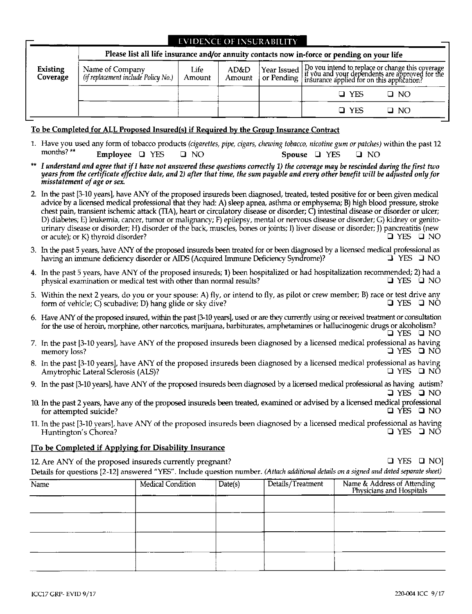| <b>EVIDENCE OF INSURABILITY</b><br>Please list all life insurance and/or annuity contacts now in-force or pending on your life |                                                        |                |                |  |                                                                                                                                                                                             |  |  |
|--------------------------------------------------------------------------------------------------------------------------------|--------------------------------------------------------|----------------|----------------|--|---------------------------------------------------------------------------------------------------------------------------------------------------------------------------------------------|--|--|
| Existing<br>Coverage                                                                                                           | Name of Company<br>(if replacement include Policy No.) | Life<br>Amount | AD&D<br>Amount |  | Year Issued Do you intend to replace or change this coverage<br>  or Pending   if you and your dependents are approved for the<br>  or Pending   insurance applied for on this application? |  |  |
|                                                                                                                                |                                                        |                |                |  | <b>O</b> YES<br>Q NO                                                                                                                                                                        |  |  |
|                                                                                                                                |                                                        |                |                |  | $\Box$ YES<br>□ NO                                                                                                                                                                          |  |  |

# To be Completed for ALL Proposed Insured(s) if Required by the Group Insurance Contract

- 1. Have you used any form of tobacco products (cigarettes, pipe, cigars, chewing tobacco, nicotine gum or patches) within the past 12 months?\*\* Employee **Q** YES  $Q$  NO Spouse Q YES  $\square$  NO
- I understand and agree that if I have not answered these questions correctly 1) the coverage may be rescinded during the first two years from the certificate effective date, and 2) after that time, the sum payable and every other benefit will be adjusted only for misstatement of age or sex.
- 2. In the past [3-10 years], have ANY of the proposed insureds been diagnosed, treated, tested positive for or been given medical advice by a licensed medical professional that they had: A) sleep apnea, asthma or emphysema; B) high blood pressure, stroke chest pain, transient ischemic attack (TIA), heart or circulatory disease or disorder; C) intestinal disease or disorder or ulcer; D) diabetes; E) leukemia, cancer, tumor or malignancy; F) epilepsy, mental or nervous disease or disorder; G) kidney or genitourinary disease or disorder; H) disorder of the back, muscles, bones or joints; I) liver disease or disorder; J) pancreatitis (new or acute); or K) thyroid disorder?  $QYESQN$
- 3. In the past 5 years, have ANY of the proposed insureds been treated for or been diagnosed by a licensed medical professional as having an immune deficiency disorder or AIDS (Acquired Immune Deficiency Syndrome)?  $\overline{\mathsf{I}}$  YES  $\overline{\mathsf{I}}$  NO
- 4. In the past 5 years, have ANY of the proposed insureds; 1) been hospitalized or had hospitalization recommended; 2) had a physical examination or medical test with other than normal results? Q YES Q NO
- 5. Within the next 2 years, do you or your spouse: A) fly, or intend to fly, as pilot or crew member; B) race or test drive any form of vehicle; C) scubadive; D) hang glide or sky dive? Q YES Q NO
- 6. Have ANY of the proposed insured, within the past [3-10 years], used or are they currently using or received treatment or consultation for the use of heroin, morphine, other narcotics, marijuana, barbiturates, amphetamines or hallucinogenic drugs or alcoholism? Q YES Q NO
- 7. In the past [3-10 years], have ANY of the proposed insureds been diagnosed by a licensed medical professional as having O YES O NÕ memory loss?
- 8. In the past [3-10 years], have ANY of the proposed insureds been diagnosed by a licensed medical professional as having Q YES Q NÕ Amytrophic Lateral Sclerosis (ALS)?
- 9. In the past [3-10 years], have ANY of the proposed insureds been diagnosed by a licensed medical professional as having autism?
- 10. In the past 2 years, have any of the proposed insureds been treated, examined or advised by a licensed medical professional □ YES □ NO for attempted suicide?

11. In the past [3-10 years], have ANY of the proposed insureds been diagnosed by a licensed medical professional as having D YES J NO Huntington's Chorea?

## [To be Completed if Applying for Disability Insurance

12. Are ANY of the proposed insureds currently pregnant?  $\Box$  YES  $\Box$  NO Details for questions [2-12] answered "YES". Include question number. (Attach additional details on a signed and dated separate sheet)

| Name | Medical Condition | Date(s) | Details/Treatment | Name & Address of Attending<br>Physicians and Hospitals |
|------|-------------------|---------|-------------------|---------------------------------------------------------|
|      |                   |         |                   |                                                         |
|      |                   |         |                   |                                                         |
|      |                   |         |                   |                                                         |
|      |                   |         |                   |                                                         |

סאום VES טו